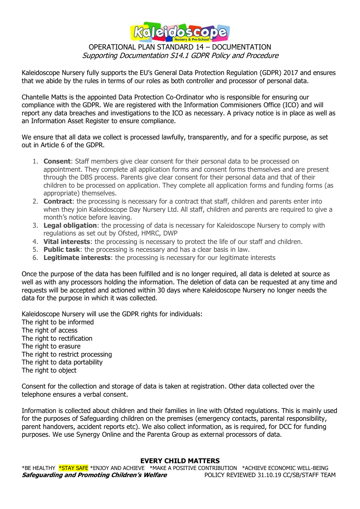

## OPERATIONAL PLAN STANDARD 14 – DOCUMENTATION Supporting Documentation S14.1 GDPR Policy and Procedure

Kaleidoscope Nursery fully supports the EU's General Data Protection Regulation (GDPR) 2017 and ensures that we abide by the rules in terms of our roles as both controller and processor of personal data.

Chantelle Matts is the appointed Data Protection Co-Ordinator who is responsible for ensuring our compliance with the GDPR. We are registered with the Information Commisioners Office (ICO) and will report any data breaches and investigations to the ICO as necessary. A privacy notice is in place as well as an Information Asset Register to ensure compliance.

We ensure that all data we collect is processed lawfully, transparently, and for a specific purpose, as set out in Article 6 of the GDPR.

- 1. **Consent**: Staff members give clear consent for their personal data to be processed on appointment. They complete all application forms and consent forms themselves and are present through the DBS process. Parents give clear consent for their personal data and that of their children to be processed on application. They complete all application forms and funding forms (as appropriate) themselves.
- 2. **Contract**: the processing is necessary for a contract that staff, children and parents enter into when they join Kaleidoscope Day Nursery Ltd. All staff, children and parents are required to give a month's notice before leaving.
- 3. **Legal obligation**: the processing of data is necessary for Kaleidoscope Nursery to comply with regulations as set out by Ofsted, HMRC, DWP
- 4. **Vital interests**: the processing is necessary to protect the life of our staff and children.
- 5. **Public task**: the processing is necessary and has a clear basis in law.
- 6. **Legitimate interests**: the processing is necessary for our legitimate interests

Once the purpose of the data has been fulfilled and is no longer required, all data is deleted at source as well as with any processors holding the information. The deletion of data can be requested at any time and requests will be accepted and actioned within 30 days where Kaleidoscope Nursery no longer needs the data for the purpose in which it was collected.

Kaleidoscope Nursery will use the GDPR rights for individuals:

The right to be informed The right of access The right to rectification The right to erasure The right to restrict processing The right to data portability The right to object

Consent for the collection and storage of data is taken at registration. Other data collected over the telephone ensures a verbal consent.

Information is collected about children and their families in line with Ofsted regulations. This is mainly used for the purposes of Safeguarding children on the premises (emergency contacts, parental responsibility, parent handovers, accident reports etc). We also collect information, as is required, for DCC for funding purposes. We use Synergy Online and the Parenta Group as external processors of data.

#### **EVERY CHILD MATTERS**

\*BE HEALTHY \*STAY SAFE \*ENJOY AND ACHIEVE \*MAKE A POSITIVE CONTRIBUTION \*ACHIEVE ECONOMIC WELL-BEING **Safeguarding and Promoting Children's Welfare** POLICY REVIEWED 31.10.19 CC/SB/STAFF TEAM